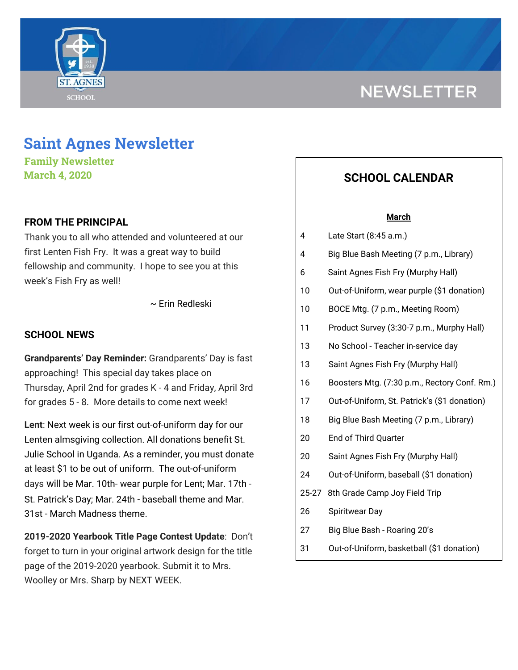# **NEWSLETTER**



**Family Newsletter March 4, 2020**

### **FROM THE PRINCIPAL**

Thank you to all who attended and volunteered at our first Lenten Fish Fry. It was a great way to build fellowship and community. I hope to see you at this week's Fish Fry as well!

~ Erin Redleski

## **SCHOOL NEWS**

**Grandparents' Day Reminder:** Grandparents' Day is fast approaching! This special day takes place on Thursday, April 2nd for grades K - 4 and Friday, April 3rd for grades 5 - 8. More details to come next week!

**Lent**: Next week is our first out-of-uniform day for our Lenten almsgiving collection. All donations benefit St. Julie School in Uganda. As a reminder, you must donate at least \$1 to be out of uniform. The out-of-uniform days will be Mar. 10th- wear purple for Lent; Mar. 17th - St. Patrick's Day; Mar. 24th - baseball theme and Mar. 31st - March Madness theme.

**2019-2020 Yearbook Title Page Contest Update**: Don't forget to turn in your original artwork design for the title page of the 2019-2020 yearbook. Submit it to Mrs. Woolley or Mrs. Sharp by NEXT WEEK.

# **SCHOOL CALENDAR**

#### **March**

- 4 Late Start (8:45 a.m.)
- 4 Big Blue Bash Meeting (7 p.m., Library)
- 6 Saint Agnes Fish Fry (Murphy Hall)
- 10 Out-of-Uniform, wear purple (\$1 donation)
- 10 BOCE Mtg. (7 p.m., Meeting Room)
- 11 Product Survey (3:30-7 p.m., Murphy Hall)
- 13 No School Teacher in-service day
- 13 Saint Agnes Fish Fry (Murphy Hall)
- 16 Boosters Mtg. (7:30 p.m., Rectory Conf. Rm.)
- 17 Out-of-Uniform, St. Patrick's (\$1 donation)
- 18 Big Blue Bash Meeting (7 p.m., Library)
- 20 End of Third Quarter
- 20 Saint Agnes Fish Fry (Murphy Hall)
- 24 Out-of-Uniform, baseball (\$1 donation)
- 25-27 8th Grade Camp Joy Field Trip
- 26 Spiritwear Day
- 27 Big Blue Bash Roaring 20's
- 31 Out-of-Uniform, basketball (\$1 donation)

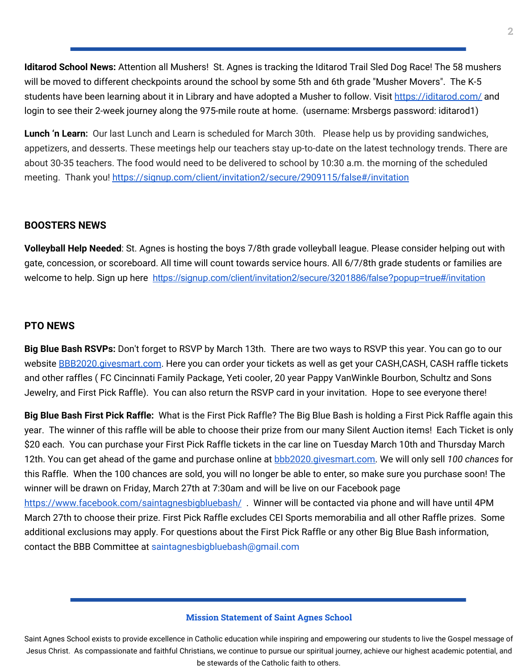**Iditarod School News:** Attention all Mushers! St. Agnes is tracking the Iditarod Trail Sled Dog Race! The 58 mushers will be moved to different checkpoints around the school by some 5th and 6th grade "Musher Movers". The K-5 students have been learning about it in Library and have adopted a Musher to follow. Visit <https://iditarod.com/> and login to see their 2-week journey along the 975-mile route at home. (username: Mrsbergs password: iditarod1)

**Lunch 'n Learn:** Our last Lunch and Learn is scheduled for March 30th. Please help us by providing sandwiches, appetizers, and desserts. These meetings help our teachers stay up-to-date on the latest technology trends. There are about 30-35 teachers. The food would need to be delivered to school by 10:30 a.m. the morning of the scheduled meeting. Thank you[!](https://signup.com/client/invitation2/secure/2909115/false#/invitation) <https://signup.com/client/invitation2/secure/2909115/false#/invitation>

## **BOOSTERS NEWS**

**Volleyball Help Needed**: St. Agnes is hosting the boys 7/8th grade volleyball league. Please consider helping out with gate, concession, or scoreboard. All time will count towards service hours. All 6/7/8th grade students or families are welcome to help. Sign up here <https://signup.com/client/invitation2/secure/3201886/false?popup=true#/invitation>

#### **PTO NEWS**

**Big Blue Bash RSVPs:** Don't forget to RSVP by March 13th. There are two ways to RSVP this year. You can go to our website [BBB2020.givesmart.com](http://bbb2020.givesmart.com/). Here you can order your tickets as well as get your CASH,CASH, CASH raffle tickets and other raffles ( FC Cincinnati Family Package, Yeti cooler, 20 year Pappy VanWinkle Bourbon, Schultz and Sons Jewelry, and First Pick Raffle). You can also return the RSVP card in your invitation. Hope to see everyone there!

**Big Blue Bash First Pick Raffle:** What is the First Pick Raffle? The Big Blue Bash is holding a First Pick Raffle again this year. The winner of this raffle will be able to choose their prize from our many Silent Auction items! Each Ticket is only \$20 each. You can purchase your First Pick Raffle tickets in the car line on Tuesday March 10th and Thursday March 12th. You can get ahead of the game and purchase online at [bbb2020.givesmart.com.](http://bbb2020.givesmart.com/) We will only sell *100 chances* for this Raffle. When the 100 chances are sold, you will no longer be able to enter, so make sure you purchase soon! The winner will be drawn on Friday, March 27th at 7:30am and will be live on our Facebook page [https://www.facebook.com/saintagnesbigbluebash/](http://go.sparkpostmail.com/f/a/hWaleeWxBFB4sTA2JDyjEA~~/AABDuQA~/RgRckncbP0QvaHR0cHM6Ly93d3cuZmFjZWJvb2suY29tL3NhaW50YWduZXNiaWdibHVlYmFzaC9XA3NwY1gEAAAAAEIKAAEc8q9azlrtZVIYamVubmZhcmllbGxvQGhvdG1haWwuY29t). Winner will be contacted via phone and will have until 4PM March 27th to choose their prize. First Pick Raffle excludes CEI Sports memorabilia and all other Raffle prizes. Some additional exclusions may apply. For questions about the First Pick Raffle or any other Big Blue Bash information, contact the BBB Committee at saintagnesbigbluebash@gmail.com

#### **Mission Statement of Saint Agnes School**

Saint Agnes School exists to provide excellence in Catholic education while inspiring and empowering our students to live the Gospel message of Jesus Christ. As compassionate and faithful Christians, we continue to pursue our spiritual journey, achieve our highest academic potential, and be stewards of the Catholic faith to others.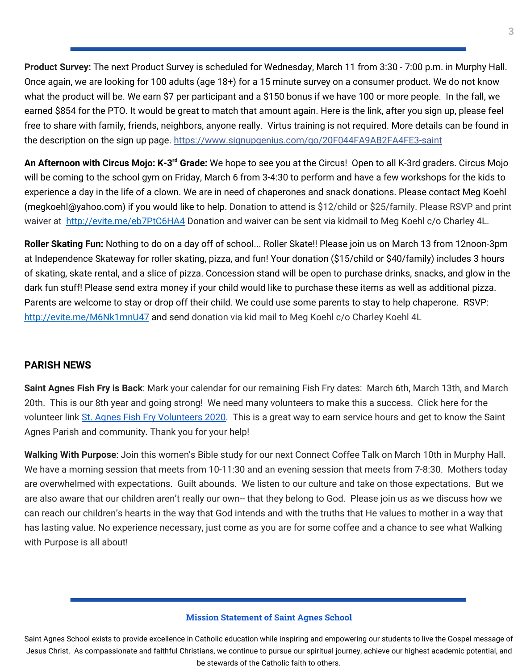**Product Survey:** The next Product Survey is scheduled for Wednesday, March 11 from 3:30 - 7:00 p.m. in Murphy Hall. Once again, we are looking for 100 adults (age 18+) for a 15 minute survey on a consumer product. We do not know what the product will be. We earn \$7 per participant and a \$150 bonus if we have 100 or more people. In the fall, we earned \$854 for the PTO. It would be great to match that amount again. Here is the link, after you sign up, please feel free to share with family, friends, neighbors, anyone really. Virtus training is not required. More details can be found in the description on the sign up page. [https://www.signupgenius.com/go/20F044FA9AB2FA4FE3-saint](https://www.signupgenius.com/go/20F044FA9AB2FA4FE3-saint?fbclid=IwAR2d8tcNjetxGe_zKmrxOR4EDDVunpJDsngbt0HGtRlv1VFyaEShC6PMJHM)

**An Afternoon with Circus Mojo: K-3<sup>rd</sup> Grade:** We hope to see you at the Circus! Open to all K-3rd graders. Circus Mojo will be coming to the school gym on Friday, March 6 from 3-4:30 to perform and have a few workshops for the kids to experience a day in the life of a clown. We are in need of chaperones and snack donations. Please contact Meg Koehl (megkoehl@yahoo.com) if you would like to help. Donation to attend is \$12/child or \$25/family. Please RSVP and print waiver at <http://evite.me/eb7PtC6HA4> Donation and waiver can be sent via kidmail to Meg Koehl c/o Charley 4L.

**Roller Skating Fun:** Nothing to do on a day off of school... Roller Skate!! Please join us on March 13 from 12noon-3pm at Independence Skateway for roller skating, pizza, and fun! Your donation (\$15/child or \$40/family) includes 3 hours of skating, skate rental, and a slice of pizza. Concession stand will be open to purchase drinks, snacks, and glow in the dark fun stuff! Please send extra money if your child would like to purchase these items as well as additional pizza. Parents are welcome to stay or drop off their child. We could use some parents to stay to help chaperone. RSVP: <http://evite.me/M6Nk1mnU47> and send donation via kid mail to Meg Koehl c/o Charley Koehl 4L

# **PARISH NEWS**

**Saint Agnes Fish Fry is Back**: Mark your calendar for our remaining Fish Fry dates: March 6th, March 13th, and March 20th. This is our 8th year and going strong! We need many volunteers to make this a success. Click here for the volunteer link St. Agnes Fish Fry [Volunteers](https://signup.com/go/GNYQiEQ) 2020. This is a great way to earn service hours and get to know the Saint Agnes Parish and community. Thank you for your help!

**Walking With Purpose**: Join this women's Bible study for our next Connect Coffee Talk on March 10th in Murphy Hall. We have a morning session that meets from 10-11:30 and an evening session that meets from 7-8:30. Mothers today are overwhelmed with expectations. Guilt abounds. We listen to our culture and take on those expectations. But we are also aware that our children aren't really our own-- that they belong to God. Please join us as we discuss how we can reach our children's hearts in the way that God intends and with the truths that He values to mother in a way that has lasting value. No experience necessary, just come as you are for some coffee and a chance to see what Walking with Purpose is all about!

#### **Mission Statement of Saint Agnes School**

Saint Agnes School exists to provide excellence in Catholic education while inspiring and empowering our students to live the Gospel message of Jesus Christ. As compassionate and faithful Christians, we continue to pursue our spiritual journey, achieve our highest academic potential, and be stewards of the Catholic faith to others.